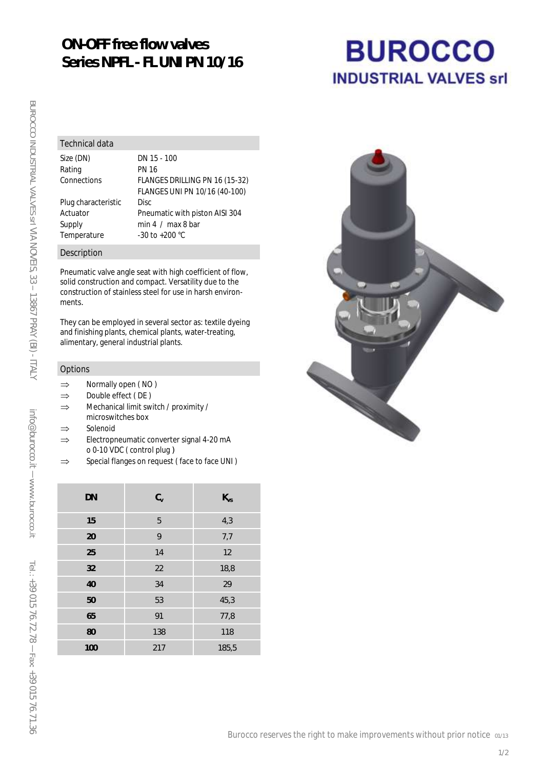## **ON-OFF free flow valves Series NPFL - FL UNI PN 10/16**

# **BUROCCO INDUSTRIAL VALVES srl**

#### Technical data

Rating PN 16

Size (DN) DN 15 - 100 Connections FLANGES DRILLING PN 16 (15-32) FLANGES UNI PN 10/16 (40-100) Plug characteristic Disc Actuator Pneumatic with piston AISI 304 Supply min 4 / max 8 bar Temperature -30 to +200 °C

#### Description

Pneumatic valve angle seat with high coefficient of flow, solid construction and compact. Versatility due to the construction of stainless steel for use in harsh environments.

They can be employed in several sector as: textile dyeing and finishing plants, chemical plants, water-treating, alimentary, general industrial plants.

#### Options

- $\Rightarrow$  Normally open (NO)
- $\Rightarrow$  Double effect (DE)
- $\Rightarrow$  Mechanical limit switch / proximity / microswitches box
- $\Rightarrow$  Solenoid
- $\Rightarrow$  Electropneumatic converter signal 4-20 mA o 0-10 VDC ( control plug )
- $\Rightarrow$  Special flanges on request (face to face UNI)

| <b>DN</b> | $C_{V}$ | $K_{VS}$ |
|-----------|---------|----------|
| 15        | 5       | 4,3      |
| 20        | 9       | 7,7      |
| 25        | 14      | 12       |
| 32        | 22      | 18,8     |
| 40        | 34      | 29       |
| 50        | 53      | 45,3     |
| 65        | 91      | 77,8     |
| 80        | 138     | 118      |
| 100       | 217     | 185,5    |